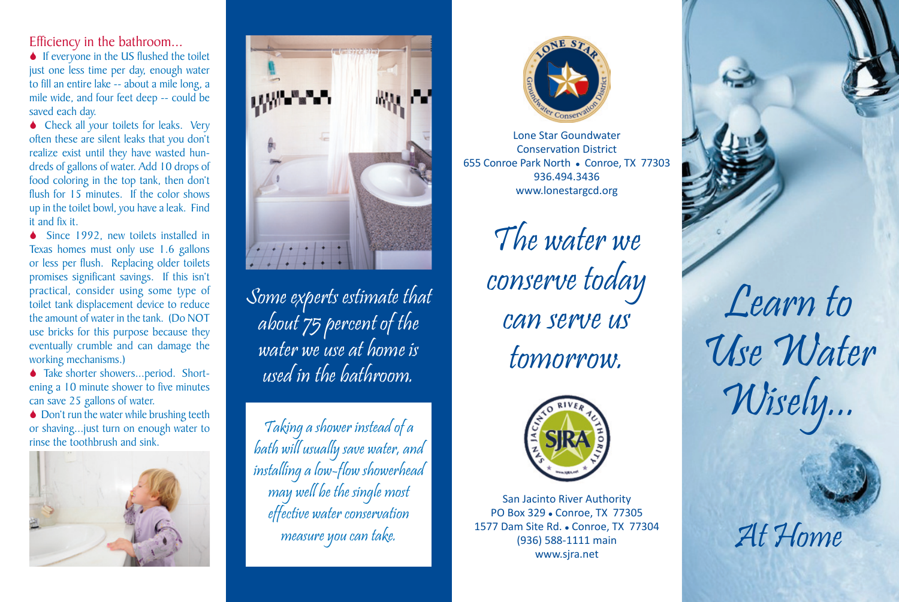Efficiency in the bathroom...

 $\bullet$  If everyone in the US flushed the toilet just one less time per day, enough water to fill an entire lake -- about a mile long, a mile wide, and four feet deep -- could be saved each day.

◆ Check all your toilets for leaks. Very often these are silent leaks that you don't realize exist until they have wasted hundreds of gallons of water. Add 10 drops of food coloring in the top tank, then don't flush for 15 minutes. If the color shows up in the toilet bowl, you have a leak. Find it and fix it.

◆ Since 1992, new toilets installed in Texas homes must only use 1.6 gallons or less per flush. Replacing older toilets promises significant savings. If this isn't practical, consider using some type of toilet tank displacement device to reduce the amount of water in the tank. (Do NOT use bricks for this purpose because they eventually crumble and can damage the working mechanisms.)

◆ Take shorter showers...period. Shortening a 10 minute shower to five minutes can save 25 gallons of water.

◆ Don't run the water while brushing teeth or shaving...just turn on enough water to rinse the toothbrush and sink.





Some experts estimate that about 75 percent of the water we use at home is used in the bathroom.

Taking a shower instead of a bath will usually save water, and installing a low-flow showerhead may well be the single most effective water conservation measure you can take.



Lone Star Goundwater Conservation District 655 Conroe Park North . Conroe, TX 77303 936.494.3436 www.lonestargcd.org

> The water we conserve today can serve us tomorrow.



San Jacinto River Authority PO Box 329 . Conroe, TX 77305 1577 Dam Site Rd. . Conroe, TX 77304 (936) 588-1111 main www.sjra.net

Learn to Use Water Wisely...

At Home